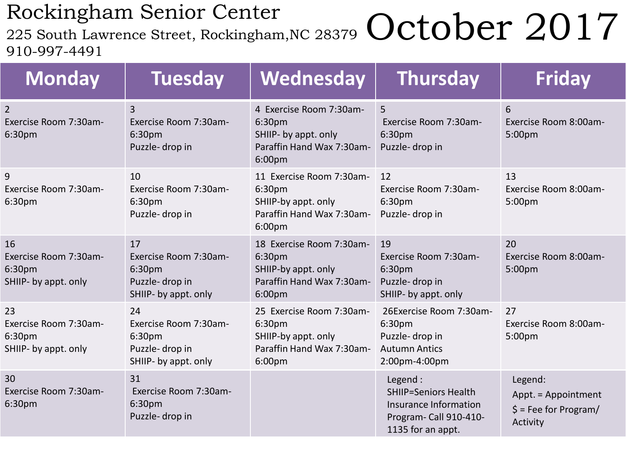## Rockingham Senior Center

225 South Lawrence Street, Rockingham, NC 28379 October 2017 910-997-4491

| <b>Monday</b>                                                 | <b>Tuesday</b>                                                                  | Wednesday                                                                                                    | <b>Thursday</b>                                                                                                | <b>Friday</b>                                                                  |
|---------------------------------------------------------------|---------------------------------------------------------------------------------|--------------------------------------------------------------------------------------------------------------|----------------------------------------------------------------------------------------------------------------|--------------------------------------------------------------------------------|
| $\overline{2}$<br>Exercise Room 7:30am-<br>6:30pm             | $\overline{3}$<br>Exercise Room 7:30am-<br>6:30pm<br>Puzzle-drop in             | 4 Exercise Room 7:30am-<br>6:30pm<br>SHIIP- by appt. only<br>Paraffin Hand Wax 7:30am-<br>6:00 <sub>pm</sub> | 5<br>Exercise Room 7:30am-<br>6:30pm<br>Puzzle-drop in                                                         | 6<br>Exercise Room 8:00am-<br>5:00pm                                           |
| 9<br>Exercise Room 7:30am-<br>6:30pm                          | 10<br>Exercise Room 7:30am-<br>6:30pm<br>Puzzle-drop in                         | 11 Exercise Room 7:30am-<br>6:30pm<br>SHIIP-by appt. only<br>Paraffin Hand Wax 7:30am-<br>6:00 <sub>pm</sub> | 12<br>Exercise Room 7:30am-<br>6:30pm<br>Puzzle-drop in                                                        | 13<br>Exercise Room 8:00am-<br>5:00pm                                          |
| 16<br>Exercise Room 7:30am-<br>6:30pm<br>SHIIP- by appt. only | 17<br>Exercise Room 7:30am-<br>6:30pm<br>Puzzle-drop in<br>SHIIP- by appt. only | 18 Exercise Room 7:30am-<br>6:30pm<br>SHIIP-by appt. only<br>Paraffin Hand Wax 7:30am-<br>6:00 <sub>pm</sub> | 19<br>Exercise Room 7:30am-<br>6:30pm<br>Puzzle-drop in<br>SHIIP- by appt. only                                | 20<br>Exercise Room 8:00am-<br>5:00pm                                          |
| 23<br>Exercise Room 7:30am-<br>6:30pm<br>SHIIP- by appt. only | 24<br>Exercise Room 7:30am-<br>6:30pm<br>Puzzle-drop in<br>SHIIP- by appt. only | 25 Exercise Room 7:30am-<br>6:30pm<br>SHIIP-by appt. only<br>Paraffin Hand Wax 7:30am-<br>6:00 <sub>pm</sub> | 26Exercise Room 7:30am-<br>6:30pm<br>Puzzle-drop in<br><b>Autumn Antics</b><br>2:00pm-4:00pm                   | 27<br>Exercise Room 8:00am-<br>5:00pm                                          |
| 30<br>Exercise Room 7:30am-<br>6:30pm                         | 31<br>Exercise Room 7:30am-<br>6:30pm<br>Puzzle-drop in                         |                                                                                                              | Legend:<br><b>SHIIP=Seniors Health</b><br>Insurance Information<br>Program- Call 910-410-<br>1135 for an appt. | Legend:<br>Appt. = Appointment<br>$\frac{1}{2}$ = Fee for Program/<br>Activity |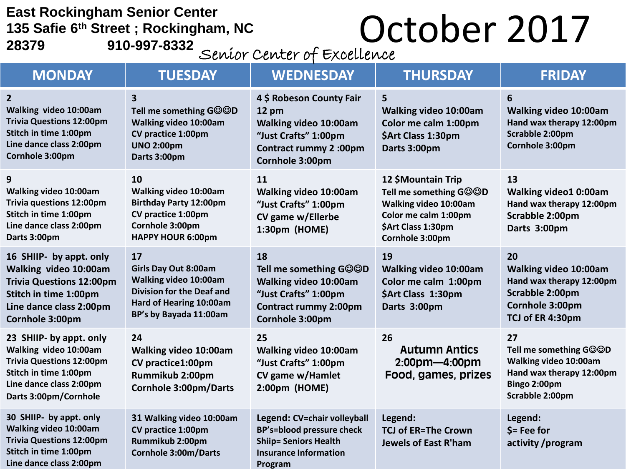**East Rockingham Senior Center 135 Safie 6th Street ; Rockingham, NC**  East Rockingham Senior Center<br>135 Safie 6<sup>th</sup> Street ; Rockingham, NC<br>28379 910-997-8332

| -OJJZ |  |  | Seníor Center of Excellence |
|-------|--|--|-----------------------------|
|-------|--|--|-----------------------------|

| <b>MONDAY</b>                                                                                                                                                    | <b>TUESDAY</b>                                                                                                                                      | <b>WEDNESDAY</b>                                                                                                                                | <b>THURSDAY</b>                                                                                                                        | <b>FRIDAY</b>                                                                                                        |
|------------------------------------------------------------------------------------------------------------------------------------------------------------------|-----------------------------------------------------------------------------------------------------------------------------------------------------|-------------------------------------------------------------------------------------------------------------------------------------------------|----------------------------------------------------------------------------------------------------------------------------------------|----------------------------------------------------------------------------------------------------------------------|
| $\overline{2}$<br>Walking video 10:00am<br><b>Trivia Questions 12:00pm</b><br>Stitch in time 1:00pm<br>Line dance class 2:00pm<br>Cornhole 3:00pm                | 3<br>Tell me something GOOD<br>Walking video 10:00am<br>CV practice 1:00pm<br><b>UNO 2:00pm</b><br>Darts 3:00pm                                     | 4 \$ Robeson County Fair<br>$12 \text{ pm}$<br>Walking video 10:00am<br>"Just Crafts" 1:00pm<br><b>Contract rummy 2:00pm</b><br>Cornhole 3:00pm | 5<br>Walking video 10:00am<br>Color me calm 1:00pm<br>\$Art Class 1:30pm<br>Darts 3:00pm                                               | 6<br>Walking video 10:00am<br>Hand wax therapy 12:00pm<br>Scrabble 2:00pm<br>Cornhole 3:00pm                         |
| 9<br><b>Walking video 10:00am</b><br>Trivia questions 12:00pm<br>Stitch in time 1:00pm<br>Line dance class 2:00pm<br>Darts 3:00pm                                | <b>10</b><br>Walking video 10:00am<br><b>Birthday Party 12:00pm</b><br>CV practice 1:00pm<br>Cornhole 3:00pm<br><b>HAPPY HOUR 6:00pm</b>            | <b>11</b><br>Walking video 10:00am<br>"Just Crafts" 1:00pm<br>CV game w/Ellerbe<br>1:30pm (HOME)                                                | 12 \$Mountain Trip<br>Tell me something GOOD<br>Walking video 10:00am<br>Color me calm 1:00pm<br>\$Art Class 1:30pm<br>Cornhole 3:00pm | 13<br>Walking video1 0:00am<br>Hand wax therapy 12:00pm<br>Scrabble 2:00pm<br>Darts 3:00pm                           |
| 16 SHIIP- by appt. only<br>Walking video 10:00am<br><b>Trivia Questions 12:00pm</b><br>Stitch in time 1:00pm<br>Line dance class 2:00pm<br>Cornhole 3:00pm       | 17<br><b>Girls Day Out 8:00am</b><br>Walking video 10:00am<br><b>Division for the Deaf and</b><br>Hard of Hearing 10:00am<br>BP's by Bayada 11:00am | 18<br>Tell me something GOOD<br>Walking video 10:00am<br>"Just Crafts" 1:00pm<br><b>Contract rummy 2:00pm</b><br>Cornhole 3:00pm                | 19<br>Walking video 10:00am<br>Color me calm 1:00pm<br>\$Art Class 1:30pm<br>Darts 3:00pm                                              | 20<br>Walking video 10:00am<br>Hand wax therapy 12:00pm<br>Scrabble 2:00pm<br>Cornhole 3:00pm<br>TCJ of ER 4:30pm    |
| 23 SHIIP- by appt. only<br>Walking video 10:00am<br><b>Trivia Questions 12:00pm</b><br>Stitch in time 1:00pm<br>Line dance class 2:00pm<br>Darts 3:00pm/Cornhole | 24<br>Walking video 10:00am<br>CV practice1:00pm<br>Rummikub 2:00pm<br><b>Cornhole 3:00pm/Darts</b>                                                 | 25<br>Walking video 10:00am<br>"Just Crafts" 1:00pm<br>CV game w/Hamlet<br>2:00pm (HOME)                                                        | 26<br><b>Autumn Antics</b><br>$2:00$ pm-4:00pm<br>Food, games, prizes                                                                  | 27<br>Tell me something GOOD<br>Walking video 10:00am<br>Hand wax therapy 12:00pm<br>Bingo 2:00pm<br>Scrabble 2:00pm |
| 30 SHIIP- by appt. only<br>Walking video 10:00am<br><b>Trivia Questions 12:00pm</b><br>Stitch in time 1:00pm<br>Line dance class 2:00pm                          | 31 Walking video 10:00am<br>CV practice 1:00pm<br>Rummikub 2:00pm<br><b>Cornhole 3:00m/Darts</b>                                                    | Legend: CV=chair volleyball<br><b>BP's=blood pressure check</b><br><b>Shiip= Seniors Health</b><br><b>Insurance Information</b><br>Program      | Legend:<br><b>TCJ of ER=The Crown</b><br><b>Jewels of East R'ham</b>                                                                   | Legend:<br>$$ = Fee for$<br>activity /program                                                                        |